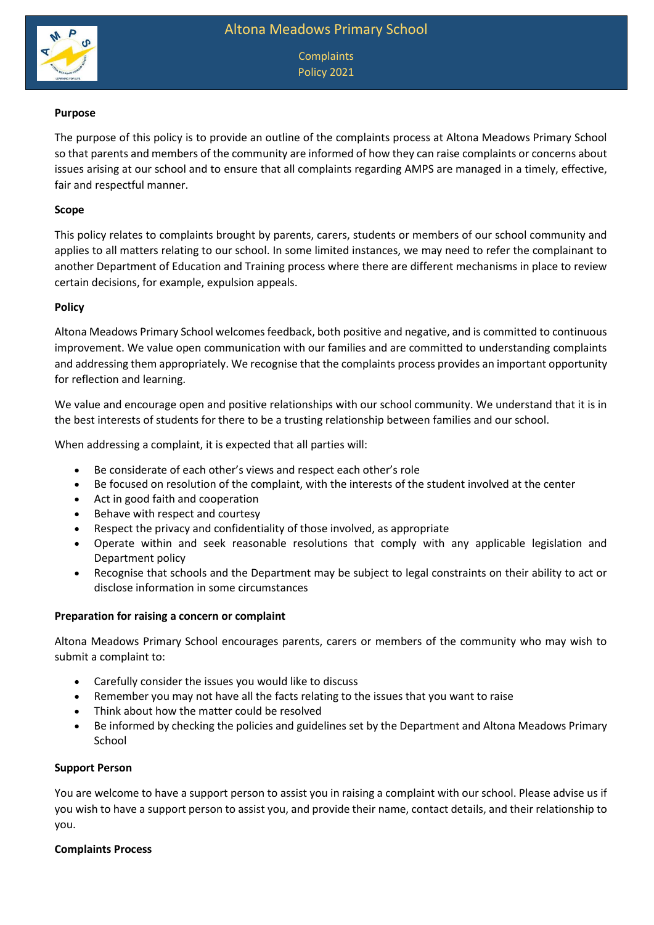

**Complaints** Policy 2021

### **Purpose**

The purpose of this policy is to provide an outline of the complaints process at Altona Meadows Primary School so that parents and members of the community are informed of how they can raise complaints or concerns about issues arising at our school and to ensure that all complaints regarding AMPS are managed in a timely, effective, fair and respectful manner.

### **Scope**

This policy relates to complaints brought by parents, carers, students or members of our school community and applies to all matters relating to our school. In some limited instances, we may need to refer the complainant to another Department of Education and Training process where there are different mechanisms in place to review certain decisions, for example, expulsion appeals.

#### **Policy**

Altona Meadows Primary School welcomes feedback, both positive and negative, and is committed to continuous improvement. We value open communication with our families and are committed to understanding complaints and addressing them appropriately. We recognise that the complaints process provides an important opportunity for reflection and learning.

We value and encourage open and positive relationships with our school community. We understand that it is in the best interests of students for there to be a trusting relationship between families and our school.

When addressing a complaint, it is expected that all parties will:

- Be considerate of each other's views and respect each other's role
- Be focused on resolution of the complaint, with the interests of the student involved at the center
- Act in good faith and cooperation
- Behave with respect and courtesy
- Respect the privacy and confidentiality of those involved, as appropriate
- Operate within and seek reasonable resolutions that comply with any applicable legislation and Department policy
- Recognise that schools and the Department may be subject to legal constraints on their ability to act or disclose information in some circumstances

#### **Preparation for raising a concern or complaint**

Altona Meadows Primary School encourages parents, carers or members of the community who may wish to submit a complaint to:

- Carefully consider the issues you would like to discuss
- Remember you may not have all the facts relating to the issues that you want to raise
- Think about how the matter could be resolved
- Be informed by checking the policies and guidelines set by the Department and Altona Meadows Primary School

### **Support Person**

You are welcome to have a support person to assist you in raising a complaint with our school. Please advise us if you wish to have a support person to assist you, and provide their name, contact details, and their relationship to you.

#### **Complaints Process**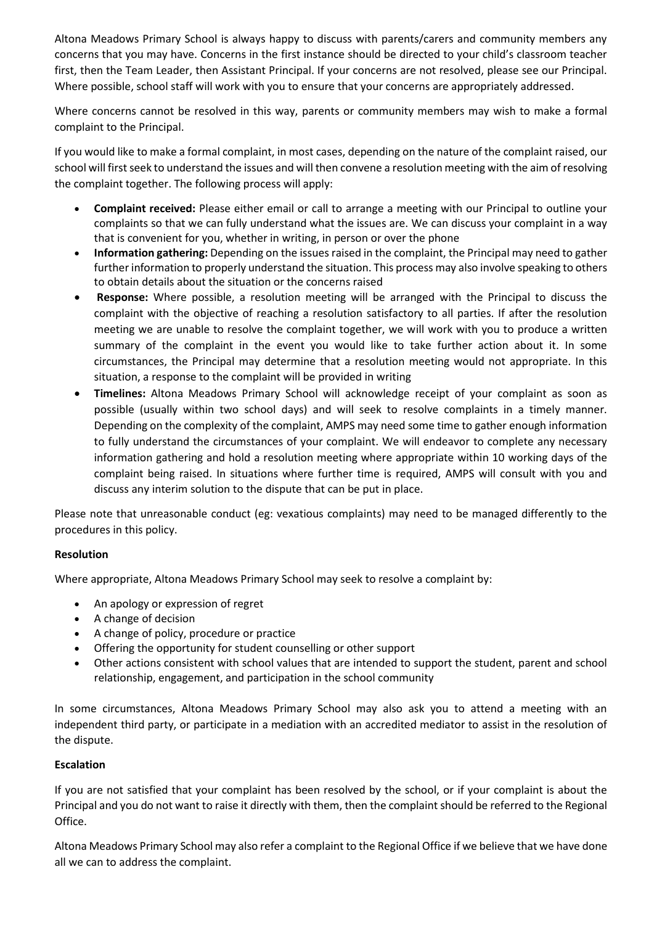Altona Meadows Primary School is always happy to discuss with parents/carers and community members any concerns that you may have. Concerns in the first instance should be directed to your child's classroom teacher first, then the Team Leader, then Assistant Principal. If your concerns are not resolved, please see our Principal. Where possible, school staff will work with you to ensure that your concerns are appropriately addressed.

Where concerns cannot be resolved in this way, parents or community members may wish to make a formal complaint to the Principal.

If you would like to make a formal complaint, in most cases, depending on the nature of the complaint raised, our school will first seek to understand the issues and will then convene a resolution meeting with the aim of resolving the complaint together. The following process will apply:

- **Complaint received:** Please either email or call to arrange a meeting with our Principal to outline your complaints so that we can fully understand what the issues are. We can discuss your complaint in a way that is convenient for you, whether in writing, in person or over the phone
- **Information gathering:** Depending on the issues raised in the complaint, the Principal may need to gather further information to properly understand the situation. This process may also involve speaking to others to obtain details about the situation or the concerns raised
- **Response:** Where possible, a resolution meeting will be arranged with the Principal to discuss the complaint with the objective of reaching a resolution satisfactory to all parties. If after the resolution meeting we are unable to resolve the complaint together, we will work with you to produce a written summary of the complaint in the event you would like to take further action about it. In some circumstances, the Principal may determine that a resolution meeting would not appropriate. In this situation, a response to the complaint will be provided in writing
- **Timelines:** Altona Meadows Primary School will acknowledge receipt of your complaint as soon as possible (usually within two school days) and will seek to resolve complaints in a timely manner. Depending on the complexity of the complaint, AMPS may need some time to gather enough information to fully understand the circumstances of your complaint. We will endeavor to complete any necessary information gathering and hold a resolution meeting where appropriate within 10 working days of the complaint being raised. In situations where further time is required, AMPS will consult with you and discuss any interim solution to the dispute that can be put in place.

Please note that unreasonable conduct (eg: vexatious complaints) may need to be managed differently to the procedures in this policy.

# **Resolution**

Where appropriate, Altona Meadows Primary School may seek to resolve a complaint by:

- An apology or expression of regret
- A change of decision
- A change of policy, procedure or practice
- Offering the opportunity for student counselling or other support
- Other actions consistent with school values that are intended to support the student, parent and school relationship, engagement, and participation in the school community

In some circumstances, Altona Meadows Primary School may also ask you to attend a meeting with an independent third party, or participate in a mediation with an accredited mediator to assist in the resolution of the dispute.

#### **Escalation**

If you are not satisfied that your complaint has been resolved by the school, or if your complaint is about the Principal and you do not want to raise it directly with them, then the complaint should be referred to the Regional Office.

Altona Meadows Primary School may also refer a complaint to the Regional Office if we believe that we have done all we can to address the complaint.